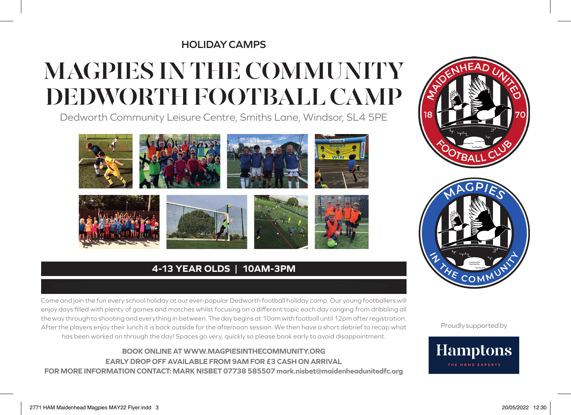#### **HOLIDAY CAMPS**

## **MAGPIES IN THE COMMUNITY DEDWORTH FOOTBALL CAMP**

Dedworth Community Leisure Centre, Smiths Lane, Windsor, SL4 5PE







### **4-13 YEAR OLDS | 10AM-3PM**

Come and join the fun every school holiday at our ever-popular Dedworth football holiday camp. Our young footballers will enjoy days filled with plenty of games and matches whilst focusing on a different topic each day ranging from dribbling all the way through to shooting and everything in between. The day begins at 10am with football until 12pm after registration. After the players enjoy their lunch it is back outside for the afternoon session. We then have a short debrief to recap what has been worked on through the day! Spaces go very, quickly so please book early to avoid disappointment.

#### **BOOK ONLINE AT WWW.MAGPIESINTHECOMMUNITY.ORG EARLY DROP OFF AVAILABLE FROM 9AM FOR £3 CASH ON ARRIVAL FOR MORE INFORMATION CONTACT: MARK NISBET 07738 585507 mark.nisbet@maidenheadunitedfc.org**





Proudly supported by